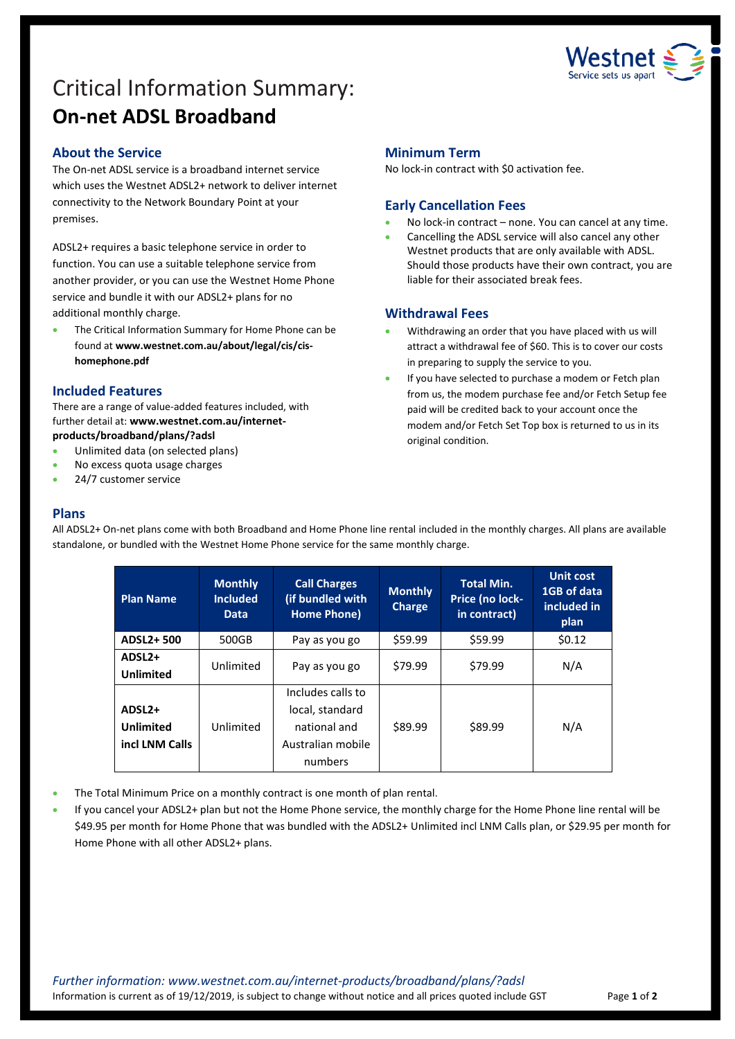

# Critical Information Summary: **On-net ADSL Broadband**

#### **About the Service**

The On-net ADSL service is a broadband internet service which uses the Westnet ADSL2+ network to deliver internet connectivity to the Network Boundary Point at your premises.

ADSL2+ requires a basic telephone service in order to function. You can use a suitable telephone service from another provider, or you can use the Westnet Home Phone service and bundle it with our ADSL2+ plans for no additional monthly charge.

 The Critical Information Summary for Home Phone can be found at **www.westnet.com.au/about/legal/cis/cishomephone.pdf**

#### **Included Features**

There are a range of value-added features included, with further detail at: **www.westnet.com.au/internetproducts/broadband/plans/?adsl**

- Unlimited data (on selected plans)
- No excess quota usage charges
- 24/7 customer service

#### **Minimum Term**

No lock-in contract with \$0 activation fee.

# **Early Cancellation Fees**

- No lock-in contract none. You can cancel at any time.
- Cancelling the ADSL service will also cancel any other Westnet products that are only available with ADSL. Should those products have their own contract, you are liable for their associated break fees.

# **Withdrawal Fees**

- Withdrawing an order that you have placed with us will attract a withdrawal fee of \$60. This is to cover our costs in preparing to supply the service to you.
- If you have selected to purchase a modem or Fetch plan from us, the modem purchase fee and/or Fetch Setup fee paid will be credited back to your account once the modem and/or Fetch Set Top box is returned to us in its original condition.

# **Plans**

All ADSL2+ On-net plans come with both Broadband and Home Phone line rental included in the monthly charges. All plans are available standalone, or bundled with the Westnet Home Phone service for the same monthly charge.

| <b>Plan Name</b>                                         | <b>Monthly</b><br><b>Included</b><br><b>Data</b> | <b>Call Charges</b><br>(if bundled with<br>Home Phone)                               | <b>Monthly</b><br><b>Charge</b> | <b>Total Min.</b><br>Price (no lock-<br>in contract) | <b>Unit cost</b><br>1GB of data<br>included in<br>plan |
|----------------------------------------------------------|--------------------------------------------------|--------------------------------------------------------------------------------------|---------------------------------|------------------------------------------------------|--------------------------------------------------------|
| ADSL2+500                                                | 500GB                                            | Pay as you go                                                                        | \$59.99                         | \$59.99                                              | \$0.12                                                 |
| ADSL <sub>2+</sub><br><b>Unlimited</b>                   | Unlimited                                        | Pay as you go                                                                        | \$79.99                         | \$79.99                                              | N/A                                                    |
| ADSL <sub>2+</sub><br><b>Unlimited</b><br>incl LNM Calls | Unlimited                                        | Includes calls to<br>local, standard<br>national and<br>Australian mobile<br>numbers | \$89.99                         | \$89.99                                              | N/A                                                    |

- The Total Minimum Price on a monthly contract is one month of plan rental.
- If you cancel your ADSL2+ plan but not the Home Phone service, the monthly charge for the Home Phone line rental will be \$49.95 per month for Home Phone that was bundled with the ADSL2+ Unlimited incl LNM Calls plan, or \$29.95 per month for Home Phone with all other ADSL2+ plans.